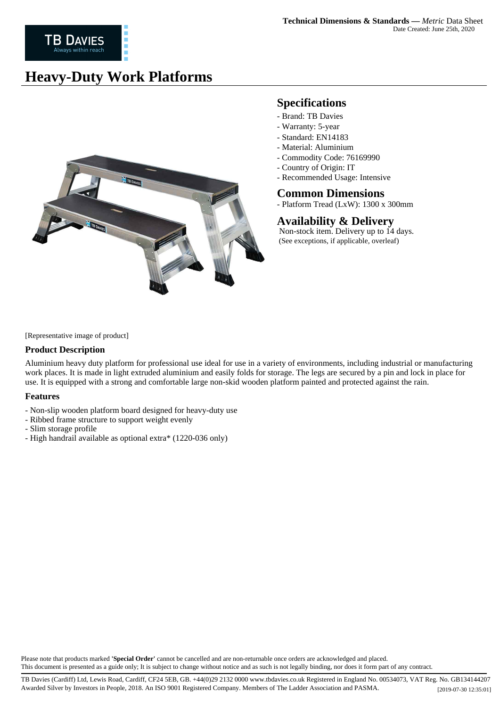# **Heavy-Duty Work Platforms**



## **Specifications**

- Brand: TB Davies
- Warranty: 5-year
- Standard: EN14183
- Material: Aluminium
- Commodity Code: 76169990
- Country of Origin: IT
- Recommended Usage: Intensive

### **Common Dimensions**

- Platform Tread (LxW): 1300 x 300mm

## **Availability & Delivery**

 Non-stock item. Delivery up to 14 days. (See exceptions, if applicable, overleaf)

[Representative image of product]

### **Product Description**

Aluminium heavy duty platform for professional use ideal for use in a variety of environments, including industrial or manufacturing work places. It is made in light extruded aluminium and easily folds for storage. The legs are secured by a pin and lock in place for use. It is equipped with a strong and comfortable large non-skid wooden platform painted and protected against the rain.

#### **Features**

- Non-slip wooden platform board designed for heavy-duty use
- Ribbed frame structure to support weight evenly
- Slim storage profile
- High handrail available as optional extra\* (1220-036 only)

Please note that products marked **'Special Order'** cannot be cancelled and are non-returnable once orders are acknowledged and placed. This document is presented as a guide only; It is subject to change without notice and as such is not legally binding, nor does it form part of any contract.